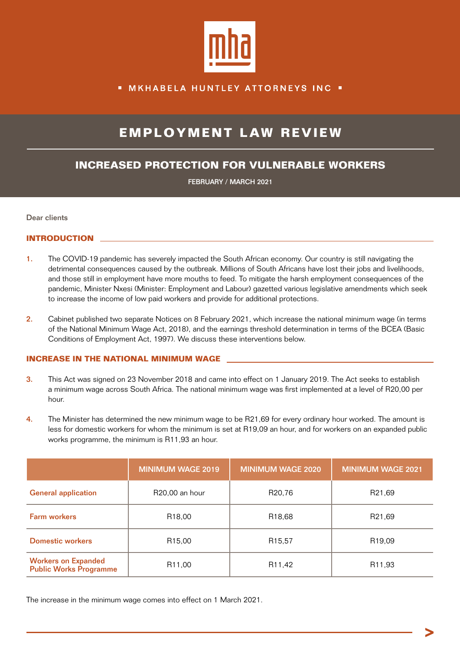

### **MKHABELA HUNTLEY ATTORNEYS INC .**

# **EMPLOYMENT LAW REVIEW**

## **INCREASED PROTECTION FOR VULNERABLE WORKERS**

FEBRUARY / MARCH 2021

Dear clients

#### **INTRODUCTION**

- 1. The COVID-19 pandemic has severely impacted the South African economy. Our country is still navigating the detrimental consequences caused by the outbreak. Millions of South Africans have lost their jobs and livelihoods, and those still in employment have more mouths to feed. To mitigate the harsh employment consequences of the pandemic, Minister Nxesi (Minister: Employment and Labour) gazetted various legislative amendments which seek to increase the income of low paid workers and provide for additional protections.
- 2. Cabinet published two separate Notices on 8 February 2021, which increase the national minimum wage (in terms of the National Minimum Wage Act, 2018), and the earnings threshold determination in terms of the BCEA (Basic Conditions of Employment Act, 1997). We discuss these interventions below.

#### **INCREASE IN THE NATIONAL MINIMUM WAGE**

- 3. This Act was signed on 23 November 2018 and came into effect on 1 January 2019. The Act seeks to establish a minimum wage across South Africa. The national minimum wage was first implemented at a level of R20,00 per hour.
- 4. The Minister has determined the new minimum wage to be R21,69 for every ordinary hour worked. The amount is less for domestic workers for whom the minimum is set at R19,09 an hour, and for workers on an expanded public works programme, the minimum is R11,93 an hour.

|                                                             | <b>MINIMUM WAGE 2019</b>    | <b>MINIMUM WAGE 2020</b> | <b>MINIMUM WAGE 2021</b> |
|-------------------------------------------------------------|-----------------------------|--------------------------|--------------------------|
| <b>General application</b>                                  | R <sub>20</sub> ,00 an hour | R20,76                   | R <sub>21,69</sub>       |
| <b>Farm workers</b>                                         | R <sub>18</sub> ,00         | R <sub>18,68</sub>       | R21,69                   |
| <b>Domestic workers</b>                                     | R <sub>15,00</sub>          | R <sub>15</sub> ,57      | R <sub>19,09</sub>       |
| <b>Workers on Expanded</b><br><b>Public Works Programme</b> | R <sub>11</sub> ,00         | R <sub>11</sub> ,42      | R <sub>11</sub> ,93      |

The increase in the minimum wage comes into effect on 1 March 2021.